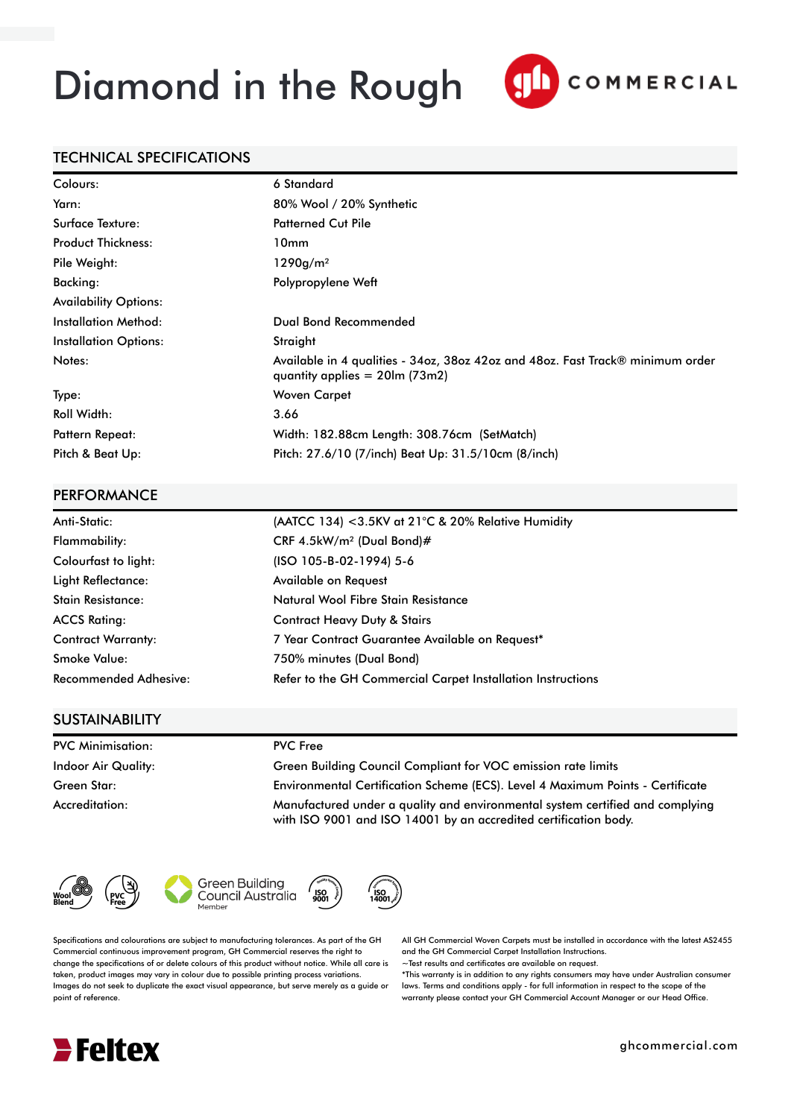# Diamond in the Rough



### TECHNICAL SPECIFICATIONS

| Colours:                     | 6 Standard                                                                                                          |
|------------------------------|---------------------------------------------------------------------------------------------------------------------|
| Yarn:                        | 80% Wool / 20% Synthetic                                                                                            |
| Surface Texture:             | <b>Patterned Cut Pile</b>                                                                                           |
| <b>Product Thickness:</b>    | 10 <sub>mm</sub>                                                                                                    |
| Pile Weight:                 | 1290g/m <sup>2</sup>                                                                                                |
| Backing:                     | Polypropylene Weft                                                                                                  |
| <b>Availability Options:</b> |                                                                                                                     |
| <b>Installation Method:</b>  | Dual Bond Recommended                                                                                               |
| <b>Installation Options:</b> | Straight                                                                                                            |
| Notes:                       | Available in 4 qualities - 34oz, 38oz 42oz and 48oz. Fast Track® minimum order<br>quantity applies $= 20$ lm (73m2) |
| Type:                        | <b>Woven Carpet</b>                                                                                                 |
| <b>Roll Width:</b>           | 3.66                                                                                                                |
| <b>Pattern Repeat:</b>       | Width: 182.88cm Length: 308.76cm (SetMatch)                                                                         |
| Pitch & Beat Up:             | Pitch: 27.6/10 (7/inch) Beat Up: 31.5/10cm (8/inch)                                                                 |

#### **PERFORMANCE**

| Anti-Static:              | (AATCC 134) <3.5KV at 21 $^{\circ}$ C & 20% Relative Humidity |
|---------------------------|---------------------------------------------------------------|
| Flammability:             | CRF 4.5kW/m <sup>2</sup> (Dual Bond)#                         |
| Colourfast to light:      | (ISO 105-B-02-1994) 5-6                                       |
| Light Reflectance:        | Available on Request                                          |
| <b>Stain Resistance:</b>  | Natural Wool Fibre Stain Resistance                           |
| <b>ACCS Rating:</b>       | <b>Contract Heavy Duty &amp; Stairs</b>                       |
| <b>Contract Warranty:</b> | 7 Year Contract Guarantee Available on Request*               |
| <b>Smoke Value:</b>       | 750% minutes (Dual Bond)                                      |
| Recommended Adhesive:     | Refer to the GH Commercial Carpet Installation Instructions   |

### **SUSTAINABILITY**

PVC Minimisation: PVC Free

Indoor Air Quality: Green Building Council Compliant for VOC emission rate limits Green Star: Environmental Certification Scheme (ECS). Level 4 Maximum Points - Certificate Accreditation: Manufactured under a quality and environmental system certified and complying with ISO 9001 and ISO 14001 by an accredited certification body.







ISO<br>9001

Specifications and colourations are subject to manufacturing tolerances. As part of the GH Commercial continuous improvement program, GH Commercial reserves the right to change the specifications of or delete colours of this product without notice. While all care is taken, product images may vary in colour due to possible printing process variations. Images do not seek to duplicate the exact visual appearance, but serve merely as a guide or point of reference.

All GH Commercial Woven Carpets must be installed in accordance with the latest AS2455 and the GH Commercial Carpet Installation Instructions.

~Test results and certificates are available on request.

\*This warranty is in addition to any rights consumers may have under Australian consumer laws. Terms and conditions apply - for full information in respect to the scope of the warranty please contact your GH Commercial Account Manager or our Head Office.